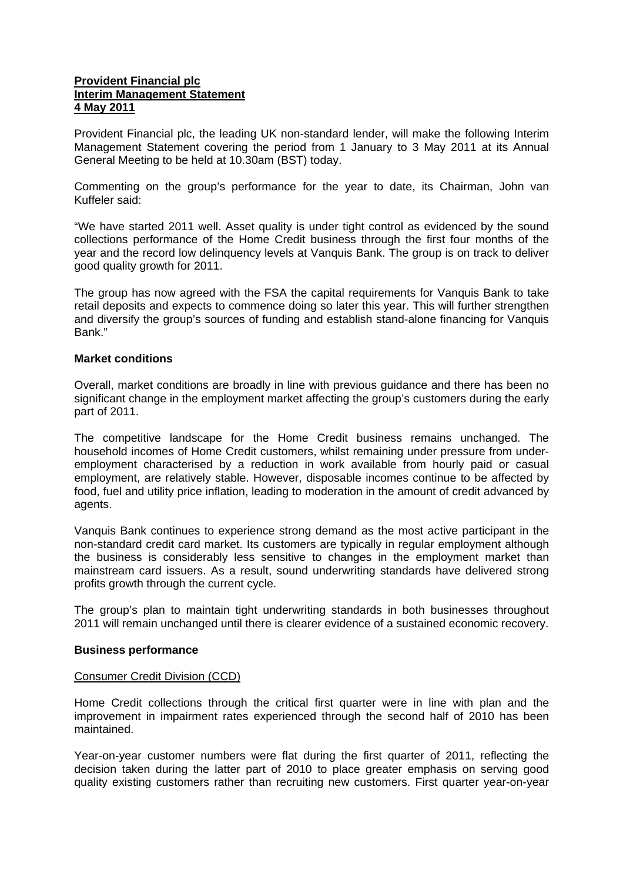## **Provident Financial plc Interim Management Statement 4 May 2011**

Provident Financial plc, the leading UK non-standard lender, will make the following Interim Management Statement covering the period from 1 January to 3 May 2011 at its Annual General Meeting to be held at 10.30am (BST) today.

Commenting on the group's performance for the year to date, its Chairman, John van Kuffeler said:

"We have started 2011 well. Asset quality is under tight control as evidenced by the sound collections performance of the Home Credit business through the first four months of the year and the record low delinquency levels at Vanquis Bank. The group is on track to deliver good quality growth for 2011.

The group has now agreed with the FSA the capital requirements for Vanquis Bank to take retail deposits and expects to commence doing so later this year. This will further strengthen and diversify the group's sources of funding and establish stand-alone financing for Vanquis Bank."

#### **Market conditions**

Overall, market conditions are broadly in line with previous guidance and there has been no significant change in the employment market affecting the group's customers during the early part of 2011.

The competitive landscape for the Home Credit business remains unchanged. The household incomes of Home Credit customers, whilst remaining under pressure from underemployment characterised by a reduction in work available from hourly paid or casual employment, are relatively stable. However, disposable incomes continue to be affected by food, fuel and utility price inflation, leading to moderation in the amount of credit advanced by agents.

Vanquis Bank continues to experience strong demand as the most active participant in the non-standard credit card market. Its customers are typically in regular employment although the business is considerably less sensitive to changes in the employment market than mainstream card issuers. As a result, sound underwriting standards have delivered strong profits growth through the current cycle.

The group's plan to maintain tight underwriting standards in both businesses throughout 2011 will remain unchanged until there is clearer evidence of a sustained economic recovery.

#### **Business performance**

#### Consumer Credit Division (CCD)

Home Credit collections through the critical first quarter were in line with plan and the improvement in impairment rates experienced through the second half of 2010 has been maintained.

Year-on-year customer numbers were flat during the first quarter of 2011, reflecting the decision taken during the latter part of 2010 to place greater emphasis on serving good quality existing customers rather than recruiting new customers. First quarter year-on-year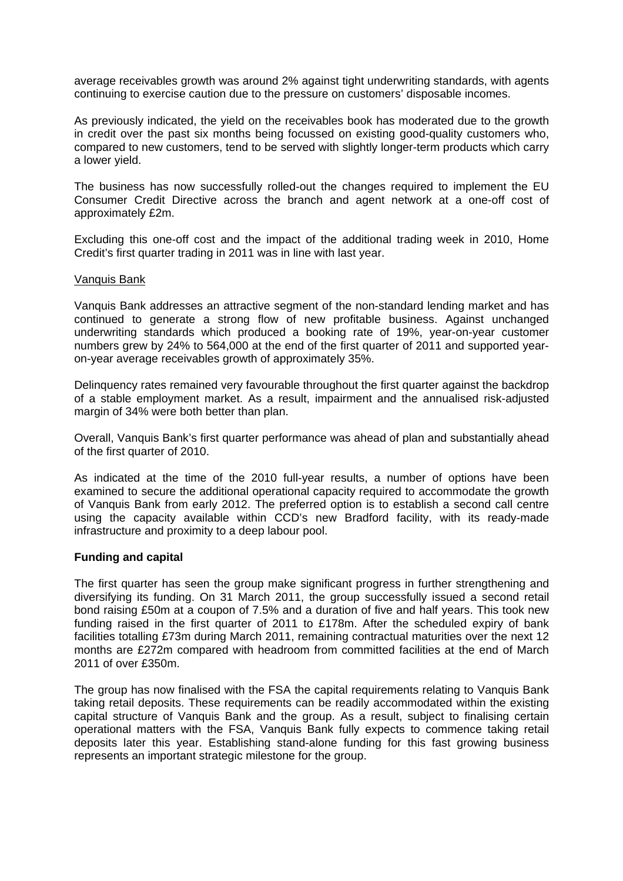average receivables growth was around 2% against tight underwriting standards, with agents continuing to exercise caution due to the pressure on customers' disposable incomes.

As previously indicated, the yield on the receivables book has moderated due to the growth in credit over the past six months being focussed on existing good-quality customers who, compared to new customers, tend to be served with slightly longer-term products which carry a lower yield.

The business has now successfully rolled-out the changes required to implement the EU Consumer Credit Directive across the branch and agent network at a one-off cost of approximately £2m.

Excluding this one-off cost and the impact of the additional trading week in 2010, Home Credit's first quarter trading in 2011 was in line with last year.

#### Vanquis Bank

Vanquis Bank addresses an attractive segment of the non-standard lending market and has continued to generate a strong flow of new profitable business. Against unchanged underwriting standards which produced a booking rate of 19%, year-on-year customer numbers grew by 24% to 564,000 at the end of the first quarter of 2011 and supported yearon-year average receivables growth of approximately 35%.

Delinquency rates remained very favourable throughout the first quarter against the backdrop of a stable employment market. As a result, impairment and the annualised risk-adjusted margin of 34% were both better than plan.

Overall, Vanquis Bank's first quarter performance was ahead of plan and substantially ahead of the first quarter of 2010.

As indicated at the time of the 2010 full-year results, a number of options have been examined to secure the additional operational capacity required to accommodate the growth of Vanquis Bank from early 2012. The preferred option is to establish a second call centre using the capacity available within CCD's new Bradford facility, with its ready-made infrastructure and proximity to a deep labour pool.

#### **Funding and capital**

The first quarter has seen the group make significant progress in further strengthening and diversifying its funding. On 31 March 2011, the group successfully issued a second retail bond raising £50m at a coupon of 7.5% and a duration of five and half years. This took new funding raised in the first quarter of 2011 to £178m. After the scheduled expiry of bank facilities totalling £73m during March 2011, remaining contractual maturities over the next 12 months are £272m compared with headroom from committed facilities at the end of March 2011 of over £350m.

The group has now finalised with the FSA the capital requirements relating to Vanquis Bank taking retail deposits. These requirements can be readily accommodated within the existing capital structure of Vanquis Bank and the group. As a result, subject to finalising certain operational matters with the FSA, Vanquis Bank fully expects to commence taking retail deposits later this year. Establishing stand-alone funding for this fast growing business represents an important strategic milestone for the group.